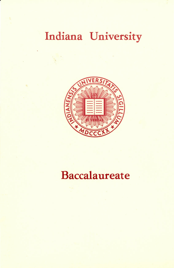# Indiana University



## Baccalaureate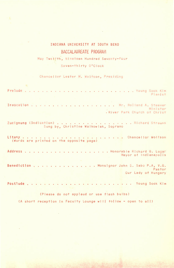## INDIANA UNIVERSITY AT SOUTH BEND BACCALAUREATE PROGRAM

**Contract** 

May Twelfth, Nineteen Hundred Seventy-Four

Seven-thirty O'Clock

Chancellor Lester M. Wolfson, Presiding

| Pianist                                                                         |
|---------------------------------------------------------------------------------|
| Minister<br>. River Park Church of Christ                                       |
| Zueignung (Dedication) Richard Strauss<br>Sung by, Christine Walkowiak, Soprano |
| (Words are printed on the opposite page)                                        |
| Mayor of Indianapolis                                                           |
| Benediction Monsignor John S. Sabo P.A, V.G.<br>Pastor<br>Our Lady of Hungary   |
|                                                                                 |

(Please do not applaud or use flash bulbs) (A short reception in Faculty Lounge will follow - open to all)

k,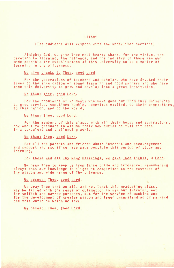#### LITANY

(The audience will respond with the underlined sections)

Almighty God, we give Thee most hearty thanks for the vision, the devotion to learning, the patience, and the industry of those men who made possible the establishment of this University to be a center of learning in the wilderness.

We give thanks to Thee, good Lord.

For the generations of teachers and scholars who have devoted their lives to the inculcation of sound learning and good manners and who have made this University to grow and develop into a great institution.

We thank Thee, good Lord.

For the thousands of students who have gone out from this University to give service, sometimes humble, sometimes exalted, to their communities, to this nation, and to the world,

We thank Thee, good Lord.

For the members of this class, with all their hopes and aspirations, now about to graduate to assume their new duties as full citizens in a turbulent and challenging world,

We thank Thee, good Lord.

For all the parents and friends whose interest and encouragement and support and sacrifice have made possible this period of study and learning,

For these and all Thy many blessings, we give Thee thanks, 0 Lord.

We pray Thee to keep us from false pride and arrogance, remembering always that our knowledge is slight in comparison to the vastness of Thy wisdom and wide range of Thy universe.

We beseech Thee, good Lord.

We pray Thee that we all, and not least this graduating class, may be filled with the sense of obligation to use our learning, not for selfish and narrow purposes, but for the service of mankind and for the development of greater wisdom and truer understanding of mankind and this world in which we live.

 $\mathcal{K}_1$ 

We beseech Thee, good Lord.